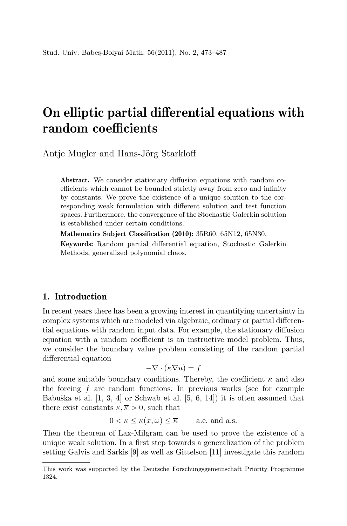# On elliptic partial differential equations with random coefficients

Antie Mugler and Hans-Jörg Starkloff

Abstract. We consider stationary diffusion equations with random coefficients which cannot be bounded strictly away from zero and infinity by constants. We prove the existence of a unique solution to the corresponding weak formulation with different solution and test function spaces. Furthermore, the convergence of the Stochastic Galerkin solution is established under certain conditions.

Mathematics Subject Classification (2010): 35R60, 65N12, 65N30.

Keywords: Random partial differential equation, Stochastic Galerkin Methods, generalized polynomial chaos.

### 1. Introduction

In recent years there has been a growing interest in quantifying uncertainty in complex systems which are modeled via algebraic, ordinary or partial differential equations with random input data. For example, the stationary diffusion equation with a random coefficient is an instructive model problem. Thus, we consider the boundary value problem consisting of the random partial differential equation

$$
-\nabla \cdot (\kappa \nabla u) = f
$$

and some suitable boundary conditions. Thereby, the coefficient  $\kappa$  and also the forcing  $f$  are random functions. In previous works (see for example Babuška et al.  $[1, 3, 4]$  or Schwab et al.  $[5, 6, 14]$  it is often assumed that there exist constants  $\kappa, \bar{\kappa} > 0$ , such that

$$
0 < \underline{\kappa} \le \kappa(x,\omega) \le \overline{\kappa} \quad \text{a.e. and a.s.}
$$

Then the theorem of Lax-Milgram can be used to prove the existence of a unique weak solution. In a first step towards a generalization of the problem setting Galvis and Sarkis [9] as well as Gittelson [11] investigate this random

This work was supported by the Deutsche Forschungsgemeinschaft Priority Programme 1324.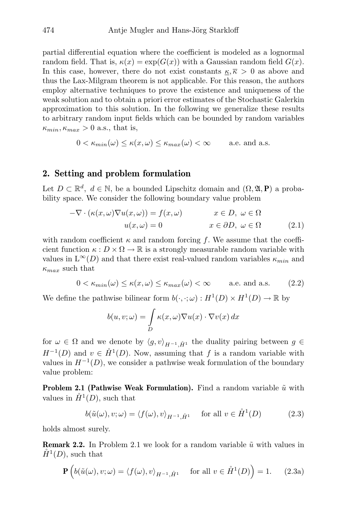partial differential equation where the coefficient is modeled as a lognormal random field. That is,  $\kappa(x) = \exp(G(x))$  with a Gaussian random field  $G(x)$ . In this case, however, there do not exist constants  $\kappa, \bar{\kappa} > 0$  as above and thus the Lax-Milgram theorem is not applicable. For this reason, the authors employ alternative techniques to prove the existence and uniqueness of the weak solution and to obtain a priori error estimates of the Stochastic Galerkin approximation to this solution. In the following we generalize these results to arbitrary random input fields which can be bounded by random variables  $\kappa_{min}, \kappa_{max} > 0$  a.s., that is,

$$
0 < \kappa_{\min}(\omega) \le \kappa(x,\omega) \le \kappa_{\max}(\omega) < \infty \quad \text{a.e. and a.s.}
$$

#### 2. Setting and problem formulation

Let  $D \subset \mathbb{R}^d$ ,  $d \in \mathbb{N}$ , be a bounded Lipschitz domain and  $(\Omega, \mathfrak{A}, \mathbf{P})$  a probability space. We consider the following boundary value problem

$$
-\nabla \cdot (\kappa(x,\omega)\nabla u(x,\omega)) = f(x,\omega) \qquad x \in D, \ \omega \in \Omega
$$

$$
u(x,\omega) = 0 \qquad x \in \partial D, \ \omega \in \Omega \qquad (2.1)
$$

with random coefficient  $\kappa$  and random forcing f. We assume that the coefficient function  $\kappa : D \times \Omega \to \mathbb{R}$  is a strongly measurable random variable with values in  $L^{\infty}(D)$  and that there exist real-valued random variables  $\kappa_{min}$  and  $\kappa_{max}$  such that

$$
0 < \kappa_{\min}(\omega) \le \kappa(x, \omega) \le \kappa_{\max}(\omega) < \infty \qquad \text{a.e. and a.s.} \tag{2.2}
$$

We define the pathwise bilinear form  $b(\cdot, \cdot; \omega) : H^1(D) \times H^1(D) \to \mathbb{R}$  by

$$
b(u, v; \omega) = \int_{D} \kappa(x, \omega) \nabla u(x) \cdot \nabla v(x) dx
$$

for  $\omega \in \Omega$  and we denote by  $\langle g, v \rangle_{H^{-1},\dot{H}^1}$  the duality pairing between  $g \in$  $H^{-1}(D)$  and  $v \in \mathring{H}^1(D)$ . Now, assuming that f is a random variable with values in  $H^{-1}(D)$ , we consider a pathwise weak formulation of the boundary value problem:

**Problem 2.1 (Pathwise Weak Formulation).** Find a random variable  $\tilde{u}$  with values in  $\mathring{H}^1(D)$ , such that

$$
b(\tilde{u}(\omega), v; \omega) = \langle f(\omega), v \rangle_{H^{-1}, \dot{H}^1} \quad \text{for all } v \in \dot{H}^1(D) \tag{2.3}
$$

holds almost surely.

**Remark 2.2.** In Problem 2.1 we look for a random variable  $\tilde{u}$  with values in  $\mathring{H}^1(D)$ , such that

$$
\mathbf{P}\left(b(\tilde{u}(\omega), v; \omega) = \langle f(\omega), v \rangle_{H^{-1}, \mathring{H}^1} \quad \text{for all } v \in \mathring{H}^1(D)\right) = 1. \tag{2.3a}
$$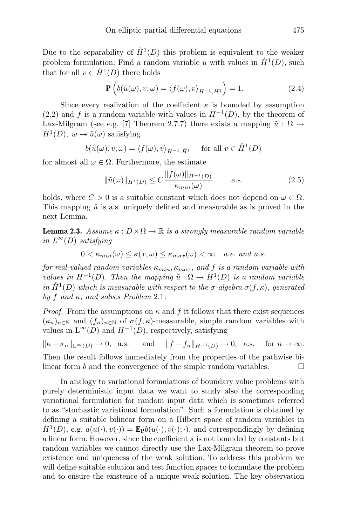Due to the separability of  $\mathring{H}^1(D)$  this problem is equivalent to the weaker problem formulation: Find a random variable  $\tilde{u}$  with values in  $\mathring{H}^1(D)$ , such that for all  $v \in \mathring{H}^1(D)$  there holds

$$
\mathbf{P}\left(b(\tilde{u}(\omega), v; \omega) = \langle f(\omega), v \rangle_{H^{-1}, \mathring{H}^1}\right) = 1.
$$
 (2.4)

Since every realization of the coefficient  $\kappa$  is bounded by assumption (2.2) and f is a random variable with values in  $H^{-1}(D)$ , by the theorem of Lax-Milgram (see e.g. [7] Theorem 2.7.7) there exists a mapping  $\tilde{u} : \Omega \to$  $\mathring{H}^1(D)$ ,  $\omega \mapsto \tilde{u}(\omega)$  satisfying

$$
b(\tilde{u}(\omega), v; \omega) = \langle f(\omega), v \rangle_{H^{-1}, \mathring{H}^1} \quad \text{ for all } v \in \mathring{H}^1(D)
$$

for almost all  $\omega \in \Omega$ . Furthermore, the estimate

$$
\|\tilde{u}(\omega)\|_{H^1(D)} \le C \frac{\|f(\omega)\|_{H^{-1}(D)}}{\kappa_{min}(\omega)} \quad \text{a.s.} \tag{2.5}
$$

holds, where  $C > 0$  is a suitable constant which does not depend on  $\omega \in \Omega$ . This mapping  $\tilde{u}$  is a.s. uniquely defined and measurable as is proved in the next Lemma.

**Lemma 2.3.** Assume  $\kappa : D \times \Omega \to \mathbb{R}$  is a strongly measurable random variable in  $L^{\infty}(D)$  satisfying

$$
0 < \kappa_{min}(\omega) \le \kappa(x,\omega) \le \kappa_{max}(\omega) < \infty \quad \text{a.e. and a.s.}
$$

for real-valued random variables  $\kappa_{min}$ ,  $\kappa_{max}$ , and f is a random variable with values in  $H^{-1}(D)$ . Then the mapping  $\tilde{u}: \Omega \to \mathring{H}^1(D)$  is a random variable in  $\mathring{H}^1(D)$  which is measurable with respect to the  $\sigma$ -algebra  $\sigma(f,\kappa)$ , generated by f and  $\kappa$ , and solves Problem 2.1.

*Proof.* From the assumptions on  $\kappa$  and f it follows that there exist sequences  $(\kappa_n)_{n\in\mathbb{N}}$  and  $(f_n)_{n\in\mathbb{N}}$  of  $\sigma(f,\kappa)$ -measurable, simple random variables with values in  $L^{\infty}(D)$  and  $H^{-1}(D)$ , respectively, satisfying

 $\|\kappa - \kappa_n\|_{\mathbb{L}^\infty(D)} \to 0$ , a.s. and  $\|f - f_n\|_{H^{-1}(D)} \to 0$ , a.s. for  $n \to \infty$ . Then the result follows immediately from the properties of the pathwise bilinear form b and the convergence of the simple random variables.  $\Box$ 

In analogy to variational formulations of boundary value problems with purely deterministic input data we want to study also the corresponding variational formulation for random input data which is sometimes referred to as "stochastic variational formulation". Such a formulation is obtained by defining a suitable bilinear form on a Hilbert space of random variables in  $\mathring{H}^{1}(D)$ , e.g.  $a(u(\cdot), v(\cdot)) = \mathbf{E}_{\mathbf{P}}b(u(\cdot), v(\cdot); \cdot)$ , and correspondingly by defining a linear form. However, since the coefficient  $\kappa$  is not bounded by constants but random variables we cannot directly use the Lax-Milgram theorem to prove existence and uniqueness of the weak solution. To address this problem we will define suitable solution and test function spaces to formulate the problem and to ensure the existence of a unique weak solution. The key observation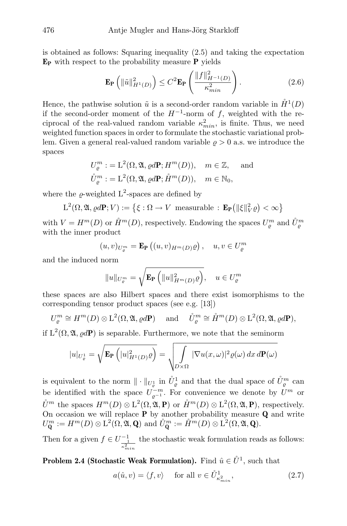is obtained as follows: Squaring inequality (2.5) and taking the expectation  $E_P$  with respect to the probability measure **P** yields

$$
\mathbf{E}_{\mathbf{P}}\left(\|\tilde{u}\|_{H^{1}(D)}^{2}\right) \leq C^{2} \mathbf{E}_{\mathbf{P}}\left(\frac{\|f\|_{H^{-1}(D)}^{2}}{\kappa_{min}^{2}}\right). \tag{2.6}
$$

Hence, the pathwise solution  $\tilde{u}$  is a second-order random variable in  $\mathring{H}^1(D)$ if the second-order moment of the  $H^{-1}$ -norm of f, weighted with the reciprocal of the real-valued random variable  $\kappa_{min}^2$ , is finite. Thus, we need weighted function spaces in order to formulate the stochastic variational problem. Given a general real-valued random variable  $\rho > 0$  a.s. we introduce the spaces

$$
U_{\varrho}^{m} := \mathcal{L}^{2}(\Omega, \mathfrak{A}, \varrho d\mathbf{P}; H^{m}(D)), \quad m \in \mathbb{Z}, \quad \text{and}
$$
  

$$
\mathring{U}_{\varrho}^{m} := \mathcal{L}^{2}(\Omega, \mathfrak{A}, \varrho d\mathbf{P}; \mathring{H}^{m}(D)), \quad m \in \mathbb{N}_{0},
$$

where the  $\varrho$ -weighted L<sup>2</sup>-spaces are defined by

$$
\mathcal{L}^2(\Omega, \mathfrak{A}, \varrho d\mathbf{P}; V) := \left\{ \xi : \Omega \to V \text{ measurable} : \mathbf{E}_{\mathbf{P}} \big( \| \xi \|_{V}^2 \varrho \big) < \infty \right\}
$$

with  $V = H^m(D)$  or  $\mathring{H}^m(D)$ , respectively. Endowing the spaces  $U^m_{\varrho}$  and  $\mathring{U}^m_{\varrho}$ with the inner product

$$
(u,v)_{U_{\varrho}^m} = \mathbf{E}_{\mathbf{P}}\left((u,v)_{H^m(D)}\varrho\right), \quad u,v \in U_{\varrho}^m
$$

and the induced norm

$$
||u||_{U_{\varrho}^m} = \sqrt{\mathbf{E}_{\mathbf{P}}\left(||u||_{H^m(D)}^2 \varrho\right)}, \quad u \in U_{\varrho}^m
$$

these spaces are also Hilbert spaces and there exist isomorphisms to the corresponding tensor product spaces (see e.g. [13])

$$
U_{\varrho}^{m} \cong H^{m}(D) \otimes \mathcal{L}^{2}(\Omega, \mathfrak{A}, \varrho d\mathbf{P}) \quad \text{ and } \quad \mathring{U}_{\varrho}^{m} \cong \mathring{H}^{m}(D) \otimes \mathcal{L}^{2}(\Omega, \mathfrak{A}, \varrho d\mathbf{P}),
$$

if  $L^2(\Omega, \mathfrak{A}, \varrho d\mathbf{P})$  is separable. Furthermore, we note that the seminorm

$$
|u|_{U^1_{\varrho}} = \sqrt{\mathbf{E}_{\mathbf{P}}\left(|u|^2_{H^1(D)}\varrho\right)} = \sqrt{\int_{D \times \Omega} |\nabla u(x,\omega)|^2 \varrho(\omega) dx d\mathbf{P}(\omega)}
$$

is equivalent to the norm  $\|\cdot\|_{U^1_{\varrho}}$  in  $\mathring{U}^1_{\varrho}$  and that the dual space of  $\mathring{U}^m_{\varrho}$  can be identified with the space  $U_{\varrho^{-1}}^{-m}$ . For convenience we denote by  $U^m$  or  $\mathring{U}^m$  the spaces  $H^m(D) \otimes L^2(\Omega, \mathfrak{A}, \mathbf{P})$  or  $\mathring{H}^m(D) \otimes L^2(\Omega, \mathfrak{A}, \mathbf{P})$ , respectively. On occasion we will replace **P** by another probability measure **Q** and write  $U^m_{\mathbf{Q}} := H^m(D) \otimes \mathcal{L}^2(\Omega, \mathfrak{A}, \mathbf{Q}) \text{ and } \mathring{U}^m_{\mathbf{Q}} := \mathring{H}^m(D) \otimes \mathcal{L}^2(\Omega, \mathfrak{A}, \mathbf{Q}).$ 

Then for a given  $f \in U^{-1}_{\frac{1}{\kappa_{min}^2}}$ the stochastic weak formulation reads as follows:

**Problem 2.4 (Stochastic Weak Formulation).** Find  $\hat{u} \in \mathring{U}^1$ , such that

$$
a(\hat{u}, v) = \langle f, v \rangle \quad \text{ for all } v \in \mathring{U}_{\kappa_{min}^2}^1,\tag{2.7}
$$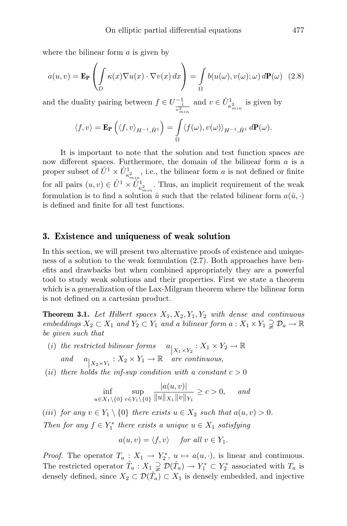where the bilinear form  $\alpha$  is given by

$$
a(u,v) = \mathbf{E}_{\mathbf{P}} \left( \int_{D} \kappa(x) \nabla u(x) \cdot \nabla v(x) dx \right) = \int_{\Omega} b(u(\omega), v(\omega); \omega) d\mathbf{P}(\omega) \tag{2.8}
$$

and the duality pairing between  $f \in U^{-1}_{\frac{1}{\kappa_{min}^2}}$ and  $v \in \overset{\circ}{U}_{\kappa^2_{min}}^1$  is given by

$$
\langle f, v \rangle = \mathbf{E}_{\mathbf{P}} \left( \langle f, v \rangle_{H^{-1}, \hat{H}^1} \right) = \int_{\Omega} \langle f(\omega), v(\omega) \rangle_{H^{-1}, \hat{H}^1} d\mathbf{P}(\omega).
$$

It is important to note that the solution and test function spaces are now different spaces. Furthermore, the domain of the bilinear form  $a$  is a proper subset of  $\mathring{U}^1 \times \mathring{U}^1_{\kappa^2_{min}}$ , i.e., the bilinear form a is not defined or finite for all pairs  $(u, v) \in U^1 \times U^1_{\kappa^2_{min}}^1$ . Thus, an implicit requirement of the weak formulation is to find a solution  $\hat{u}$  such that the related bilinear form  $a(\hat{u}, \cdot)$ is defined and finite for all test functions.

#### 3. Existence and uniqueness of weak solution

In this section, we will present two alternative proofs of existence and uniqueness of a solution to the weak formulation (2.7). Both approaches have benefits and drawbacks but when combined appropriately they are a powerful tool to study weak solutions and their properties. First we state a theorem which is a generalization of the Lax-Milgram theorem where the bilinear form is not defined on a cartesian product.

**Theorem 3.1.** Let Hilbert spaces  $X_1, X_2, Y_1, Y_2$  with dense and continuous embeddings  $X_2 \subset X_1$  and  $Y_2 \subset Y_1$  and a bilinear form  $a: X_1 \times Y_1 \supsetneq \mathcal{D}_a \to \mathbb{R}$ be given such that

- (i) the restricted bilinear forms  $a_{X_1 \times Y_2}$ :  $X_1 \times Y_2 \rightarrow \mathbb{R}$ and  $a_{X_2 \times Y_1}$ :  $X_2 \times Y_1 \to \mathbb{R}$  are continuous,
- (ii) there holds the inf-sup condition with a constant  $c > 0$

$$
\inf_{u \in X_1 \setminus \{0\}} \sup_{v \in Y_1 \setminus \{0\}} \frac{|a(u, v)|}{\|u\|_{X_1} \|v\|_{Y_1}} \ge c > 0, \quad \text{and}
$$

(iii) for any  $v \in Y_1 \setminus \{0\}$  there exists  $u \in X_2$  such that  $a(u, v) > 0$ . Then for any  $f \in Y_1^*$  there exists a unique  $u \in X_1$  satisfying

$$
a(u, v) = \langle f, v \rangle \quad \text{ for all } v \in Y_1.
$$

*Proof.* The operator  $T_a: X_1 \to Y_2^*, u \mapsto a(u, \cdot)$ , is linear and continuous. The restricted operator  $\hat{T}_a: X_1 \supsetneq \mathcal{D}(\hat{T}_a) \to Y_1^* \subset Y_2^*$  associated with  $T_a$  is densely defined, since  $X_2 \subset \mathcal{D}(\hat{T}_a) \subset X_1$  is densely embedded, and injective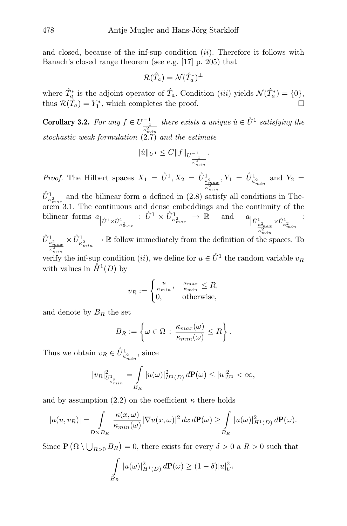and closed, because of the inf-sup condition  $(ii)$ . Therefore it follows with Banach's closed range theorem (see e.g. [17] p. 205) that

$$
\mathcal{R}(\hat{T}_a) = \mathcal{N}(\hat{T}_a^*)^{\perp}
$$

where  $\hat{T}_{a}^{*}$  is the adjoint operator of  $\hat{T}_{a}$ . Condition (*iii*) yields  $\mathcal{N}(\hat{T}_{a}^{*}) = \{0\},$ thus  $\mathcal{R}(\hat{T}_a) = Y_1^*$ , which completes the proof.

**Corollary 3.2.** For any  $f \in U_{\frac{1}{\kappa_{min}^2}}^{-1}$ there exists a unique  $\hat{u} \in \overset{\circ}{U}^1$  satisfying the stochastic weak formulation (2.7) and the estimate

$$
\|\hat{u}\|_{U^1}\leq C\|f\|_{U^{-1}_{\frac{1}{\kappa^2_{\min}}}}.
$$

*Proof.* The Hilbert spaces  $X_1 = \mathring{U}^1$ ,  $X_2 = \mathring{U}^1$ <sub> $\frac{\kappa_{max}^2}{\kappa_{min}^2}$ </sub>  $Y_1 = \mathring{U}_{\kappa^2_{min}}^{1}$  and  $Y_2 =$ 

 $\mathring{U}_{\kappa_{max}}^1$  and the bilinear form a defined in (2.8) satisfy all conditions in Theorem 3.1. The continuous and dense embeddings and the continuity of the bilinear forms  $a_{\left|\mathring{U}^1 \times \mathring{U}^1_{\kappa^2_{max}}\right|}$  $:\, \mathring{U}^1 \times \mathring{U}^1_{\kappa_{max}^2} \,\,\rightarrow\,\mathbb{R} \hspace{0.5cm} \text{and} \hspace{0.5cm} a_{\left|\mathring{U}^1_{\kappa_{max}^2} \times \mathring{U}^1_{\kappa_{min}^2}\right|} \,\, :$  $\kappa_{min}^2$  $a_{\big|\dot{U}^1_{\frac{\kappa^2_{max}}{2}}\times\mathring{U}^1_{\kappa^2_{min}}}\, :$ 

 $\mathring{U}^1_{\frac{\kappa^2_{max}}{\kappa^2_{min}}}$  $\times \mathring{U}^1_{\kappa^2_{min}} \to \mathbb{R}$  follow immediately from the definition of the spaces. To

verify the inf-sup condition  $(ii)$ , we define for  $u \in \mathring{U}^1$  the random variable  $v_R$ with values in  $\mathring{H}^1(D)$  by

$$
v_R := \begin{cases} \frac{u}{\kappa_{min}}, & \frac{\kappa_{max}}{\kappa_{min}} \le R, \\ 0, & \text{otherwise}, \end{cases}
$$

and denote by  $B_R$  the set

$$
B_R := \left\{ \omega \in \Omega \, : \, \frac{\kappa_{max}(\omega)}{\kappa_{min}(\omega)} \leq R \right\}.
$$

Thus we obtain  $v_R \in \mathring{U}_{\kappa^2_{min}}^1$ , since

$$
|v_R|^2_{U^1_{\kappa^2_{min}}} = \int\limits_{B_R} |u(\omega)|^2_{H^1(D)} d\mathbf{P}(\omega) \le |u|^2_{U^1} < \infty,
$$

and by assumption (2.2) on the coefficient  $\kappa$  there holds

$$
|a(u,v_R)| = \int_{D \times B_R} \frac{\kappa(x,\omega)}{\kappa_{min}(\omega)} |\nabla u(x,\omega)|^2 dx d\mathbf{P}(\omega) \ge \int_{B_R} |u(\omega)|^2_{H^1(D)} d\mathbf{P}(\omega).
$$

Since  $\mathbf{P}(\Omega \setminus \bigcup_{R>0} B_R) = 0$ , there exists for every  $\delta > 0$  a  $R > 0$  such that

$$
\int\limits_{B_R} |u(\omega)|^2_{H^1(D)} d\mathbf{P}(\omega) \ge (1-\delta)|u|^2_{U^1}
$$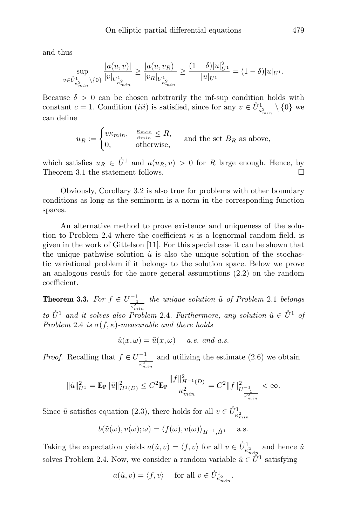and thus

$$
\sup_{v \in \mathring{U}^1_{\kappa_{min}^2} \backslash \{0\}} \frac{|a(u,v)|}{|v|_{U^1_{\kappa_{min}^2}}} \ge \frac{|a(u,v_R)|}{|v_R|_{U^1_{\kappa_{min}^2}}} \ge \frac{(1-\delta)|u|_{U^1}^2}{|u|_{U^1}} = (1-\delta)|u|_{U^1}.
$$

Because  $\delta > 0$  can be chosen arbitrarily the inf-sup condition holds with constant  $c = 1$ . Condition *(iii)* is satisfied, since for any  $v \in \mathring{U}_{\kappa_{min}^2}^1 \setminus \{0\}$  we can define

> $u_R := \begin{cases} v\kappa_{min}, & \frac{\kappa_{max}}{\kappa_{min}} \leq R, \\ 0 & \text{otherwise} \end{cases}$  $\sum_{k=1}^{\infty}$  and the set  $B_R$  as above,<br>0, otherwise,

which satisfies  $u_R \in \mathring{U}^1$  and  $a(u_R, v) > 0$  for R large enough. Hence, by<br>Theorem 3.1 the statement follows Theorem 3.1 the statement follows.

Obviously, Corollary 3.2 is also true for problems with other boundary conditions as long as the seminorm is a norm in the corresponding function spaces.

An alternative method to prove existence and uniqueness of the solution to Problem 2.4 where the coefficient  $\kappa$  is a lognormal random field, is given in the work of Gittelson [11]. For this special case it can be shown that the unique pathwise solution  $\tilde{u}$  is also the unique solution of the stochastic variational problem if it belongs to the solution space. Below we prove an analogous result for the more general assumptions (2.2) on the random coefficient.

**Theorem 3.3.** For  $f \in U_{\frac{1}{\kappa_{min}^2}}^{-1}$ the unique solution  $\tilde{u}$  of Problem 2.1 belongs to  $\mathring{U}^1$  and it solves also Problem 2.4. Furthermore, any solution  $\hat{u} \in \mathring{U}^1$  of Problem 2.4 is  $\sigma(f, \kappa)$ -measurable and there holds

$$
\hat{u}(x,\omega) = \tilde{u}(x,\omega) \quad a.e. \text{ and } a.s.
$$

*Proof.* Recalling that  $f \in U_{\frac{1}{\kappa_{min}^2}}^{-1}$ and utilizing the estimate (2.6) we obtain

$$
\|\tilde{u}\|_{U^1}^2 = \mathbf{E}_{\mathbf{P}} \|\tilde{u}\|_{H^1(D)}^2 \leq C^2 \mathbf{E}_{\mathbf{P}} \frac{\|f\|_{H^{-1}(D)}^2}{\kappa_{min}^2} = C^2 \|f\|_{U^{-1}_{\frac{1}{\kappa_{min}^2}}}^2 < \infty.
$$

Since  $\tilde{u}$  satisfies equation (2.3), there holds for all  $v \in \mathring{U}_{\kappa_{min}^2}^1$ 

$$
b(\tilde{u}(\omega), v(\omega); \omega) = \langle f(\omega), v(\omega) \rangle_{H^{-1}, \mathring{H}^1} \quad \text{a.s.}
$$

Taking the expectation yields  $a(\tilde{u}, v) = \langle f, v \rangle$  for all  $v \in \mathring{U}_{\kappa^2_{min}}^1$  and hence  $\tilde{u}$ solves Problem 2.4. Now, we consider a random variable  $\hat{u} \in \mathring{U}^1$  satisfying

$$
a(\hat{u}, v) = \langle f, v \rangle
$$
 for all  $v \in \mathring{U}_{\kappa_{min}^2}^1$ .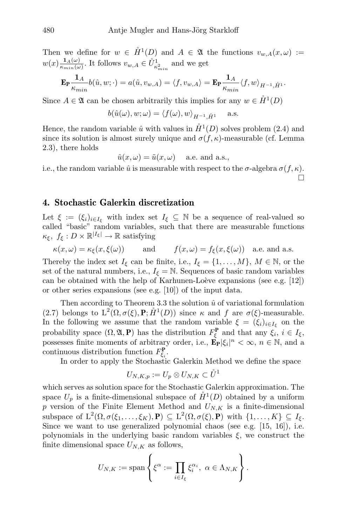Then we define for  $w \in \mathring{H}^1(D)$  and  $A \in \mathfrak{A}$  the functions  $v_{w,A}(x,\omega) :=$  $w(x) \frac{\mathbf{1}_A(\omega)}{\kappa_{min}(\omega)}$  $\frac{1_A(\omega)}{\kappa_{min}(\omega)}$ . It follows  $v_{w,A} \in \mathring{U}_{\kappa_{min}^2}^1$  and we get

$$
\mathbf{E}_{\mathbf{P}} \frac{\mathbf{1}_A}{\kappa_{min}} b(\hat{u}, w; \cdot) = a(\hat{u}, v_{w, A}) = \langle f, v_{w, A} \rangle = \mathbf{E}_{\mathbf{P}} \frac{\mathbf{1}_A}{\kappa_{min}} \langle f, w \rangle_{H^{-1}, \mathring{H}^1}.
$$

Since  $A \in \mathfrak{A}$  can be chosen arbitrarily this implies for any  $w \in \mathring{H}^1(D)$ 

$$
b(\hat{u}(\omega), w; \omega) = \langle f(\omega), w \rangle_{H^{-1}, \mathring{H}^1} \quad \text{ a.s.}
$$

Hence, the random variable  $\hat{u}$  with values in  $\mathring{H}^1(D)$  solves problem (2.4) and since its solution is almost surely unique and  $\sigma(f, \kappa)$ -measurable (cf. Lemma 2.3), there holds

$$
\hat{u}(x,\omega) = \tilde{u}(x,\omega)
$$
 a.e. and a.s.,

i.e., the random variable  $\hat{u}$  is measurable with respect to the  $\sigma$ -algebra  $\sigma(f, \kappa)$ .  $\Box$ 

### 4. Stochastic Galerkin discretization

Let  $\xi := (\xi_i)_{i \in I_{\xi}}$  with index set  $I_{\xi} \subseteq \mathbb{N}$  be a sequence of real-valued so called "basic" random variables, such that there are measurable functions  $\kappa_{\xi}, f_{\xi}: D \times \mathbb{R}^{|I_{\xi}|} \to \mathbb{R}$  satisfying

$$
\kappa(x,\omega) = \kappa_{\xi}(x,\xi(\omega))
$$
 and  $f(x,\omega) = f_{\xi}(x,\xi(\omega))$  a.e. and a.s.

Thereby the index set  $I_{\xi}$  can be finite, i.e.,  $I_{\xi} = \{1, ..., M\}, M \in \mathbb{N}$ , or the set of the natural numbers, i.e.,  $I_{\xi} = \mathbb{N}$ . Sequences of basic random variables can be obtained with the help of Karhunen-Loève expansions (see e.g.  $[12]$ ) or other series expansions (see e.g. [10]) of the input data.

Then according to Theorem 3.3 the solution  $\hat{u}$  of variational formulation (2.7) belongs to  $L^2(\Omega, \sigma(\xi), \mathbf{P}; \mathring{H}^1(D))$  since  $\kappa$  and  $f$  are  $\sigma(\xi)$ -measurable. In the following we assume that the random variable  $\xi = (\xi_i)_{i \in I_{\xi}}$  on the probability space  $(\Omega, \mathfrak{A}, \mathbf{P})$  has the distribution  $F_{\xi}^{\mathbf{P}}$  and that any  $\xi_i, i \in I_{\xi}$ , possesses finite moments of arbitrary order, i.e.,  $\mathbf{E}_{\mathbf{P}}|\xi_i|^n < \infty$ ,  $n \in \mathbb{N}$ , and a continuous distribution function  $F_{\xi_i}^{\mathbf{P}}$ .

In order to apply the Stochastic Galerkin Method we define the space

$$
U_{N,K,p}:=U_p\otimes U_{N,K}\subset\mathring{U}^1
$$

which serves as solution space for the Stochastic Galerkin approximation. The space  $U_p$  is a finite-dimensional subspace of  $\mathring{H}^1(D)$  obtained by a uniform p version of the Finite Element Method and  $U_{N,K}$  is a finite-dimensional subspace of  $L^2(\Omega, \sigma(\xi_1, \ldots, \xi_K), \mathbf{P}) \subseteq L^2(\Omega, \sigma(\xi), \mathbf{P})$  with  $\{1, \ldots, K\} \subseteq I_{\xi}$ . Since we want to use generalized polynomial chaos (see e.g. [15, 16]), i.e. polynomials in the underlying basic random variables  $\xi$ , we construct the finite dimensional space  $U_{N,K}$  as follows,

$$
U_{N,K} := \operatorname{span}\left\{\xi^{\alpha} := \prod_{i \in I_{\xi}} \xi_i^{\alpha_i}, \ \alpha \in \Lambda_{N,K}\right\}.
$$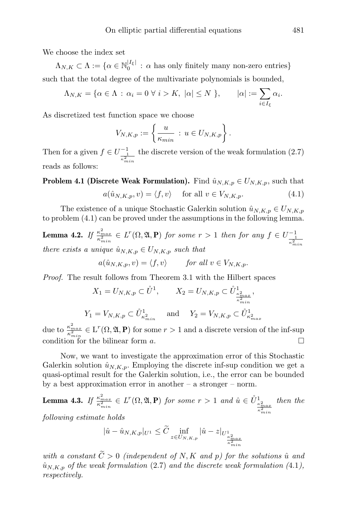We choose the index set

 $\Lambda_{N,K} \subset \Lambda := \{ \alpha \in \mathbb{N}_0^{|I_{\xi}|} : \alpha \text{ has only finitely many non-zero entries} \}$ such that the total degree of the multivariate polynomials is bounded,

$$
\Lambda_{N,K} = \{ \alpha \in \Lambda \, : \, \alpha_i = 0 \,\,\forall \,\, i > K, \,\, |\alpha| \le N \,\}, \qquad |\alpha| := \sum_{i \in I_{\xi}} \alpha_i.
$$

As discretized test function space we choose

$$
V_{N,K,p} := \left\{ \frac{u}{\kappa_{min}} : u \in U_{N,K,p} \right\}.
$$

Then for a given  $f \in U^{-1}_{\frac{1}{\kappa_{min}^2}}$ the discrete version of the weak formulation (2.7) reads as follows:

**Problem 4.1 (Discrete Weak Formulation).** Find  $\hat{u}_{N,K,p} \in U_{N,K,p}$ , such that

$$
a(\hat{u}_{N,K,p}, v) = \langle f, v \rangle \quad \text{for all } v \in V_{N,K,p}.
$$
 (4.1)

The existence of a unique Stochastic Galerkin solution  $\hat{u}_{N,K,p} \in U_{N,K,p}$ to problem (4.1) can be proved under the assumptions in the following lemma.

**Lemma 4.2.** If  $\frac{\kappa_{max}^2}{\kappa_{min}^2} \in L^r(\Omega, \mathfrak{A}, \mathbf{P})$  for some  $r > 1$  then for any  $f \in U_{\frac{1}{\kappa_{min}^2}}^{-1}$ there exists a unique  $\hat{u}_{N,K,p} \in U_{N,K,p}$  such that

$$
a(\hat{u}_{N,K,p}, v) = \langle f, v \rangle \quad \text{for all } v \in V_{N,K,p}.
$$

Proof. The result follows from Theorem 3.1 with the Hilbert spaces

$$
X_1 = U_{N,K,p} \subset \mathring{U}^1, \qquad X_2 = U_{N,K,p} \subset \mathring{U}^1_{\frac{\kappa^2_{max}}{\kappa^2_{min}}},
$$
  

$$
Y_1 = V_{N,K,p} \subset \mathring{U}^1_{\kappa^2_{min}} \quad \text{and} \quad Y_2 = V_{N,K,p} \subset \mathring{U}^1_{\kappa^2_{max}}
$$

due to  $\frac{\kappa_{max}^2}{\kappa_{min}^2} \in L^r(\Omega, \mathfrak{A}, \mathbf{P})$  for some  $r > 1$  and a discrete version of the inf-sup condition for the bilinear form  $a$ .

Now, we want to investigate the approximation error of this Stochastic Galerkin solution  $\hat{u}_{N,K,p}$ . Employing the discrete inf-sup condition we get a quasi-optimal result for the Galerkin solution, i.e., the error can be bounded by a best approximation error in another – a stronger – norm.

**Lemma 4.3.** If  $\frac{\kappa_{max}^2}{\kappa_{min}^2} \in L^r(\Omega, \mathfrak{A}, \mathbf{P})$  for some  $r > 1$  and  $\hat{u} \in \mathring{U}_{\frac{\kappa_{max}^2}{\kappa_{min}^2}}^1$ then the

following estimate holds

$$
|\hat{u} - \hat{u}_{N,K,p}|_{U^1} \leq \tilde{C} \inf_{z \in U_{N,K,p}} |\hat{u} - z|_{U^1_{\frac{\kappa_{max}^2}{\kappa_{min}^2}}}
$$

with a constant  $\widetilde{C} > 0$  (independent of N, K and p) for the solutions  $\hat{u}$  and  $\hat{u}_{N,K,p}$  of the weak formulation (2.7) and the discrete weak formulation (4.1), respectively.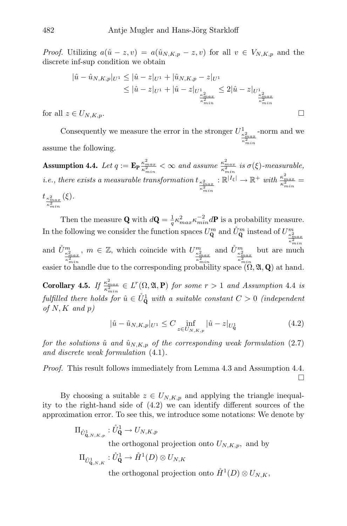*Proof.* Utilizing  $a(\hat{u} - z, v) = a(\hat{u}_{N,K,p} - z, v)$  for all  $v \in V_{N,K,p}$  and the discrete inf-sup condition we obtain

$$
|\hat{u} - \hat{u}_{N,K,p}|_{U^{1}} \leq |\hat{u} - z|_{U^{1}} + |\hat{u}_{N,K,p} - z|_{U^{1}}\leq |\hat{u} - z|_{U^{1}} + |\hat{u} - z|_{U^{1}_{\frac{\kappa_{max}^2}{\kappa_{min}^2}}} \leq 2|\hat{u} - z|_{U^{1}_{\frac{\kappa_{max}^2}{\kappa_{min}^2}}}
$$
\nfor all  $z \in U_{N,K,p}$ .

Consequently we measure the error in the stronger  $U^1_{\frac{\kappa_{max}^2}{\kappa_{min}^2}}$ -norm and we assume the following.

Assumption 4.4. Let  $q := \mathbf{E}_{\mathbf{P}} \frac{\kappa_{max}^2}{\kappa_{min}^2} < \infty$  and assume  $\frac{\kappa_{max}^2}{\kappa_{min}^2}$  is  $\sigma(\xi)$ -measurable, i.e., there exists a measurable transformation t $\frac{k_{max}^2}{\sigma^2}$  $\kappa_{min}^2$  $: \mathbb{R}^{|I_{\xi}|} \to \mathbb{R}^+$  with  $\frac{\kappa_{max}^2}{\kappa_{min}^2} =$  $t_{\frac{\kappa_{max}^2}{2}}$  $\kappa_{min}^2$  $(\xi).$ 

Then the measure **Q** with  $d\mathbf{Q} = \frac{1}{q} \kappa_{max}^2 \kappa_{min}^{-2} d\mathbf{P}$  is a probability measure. q In the following we consider the function spaces  $U_{\mathbf{Q}}^m$  and  $\mathring{U}_{\mathbf{Q}}^m$  instead of  $U_{\frac{\kappa_{max}^2}{\kappa_{min}^2}}^m$ and  $\mathring{U}^m_{\frac{\kappa_{max}^2}{\kappa_{min}^2}}$ ,  $m \in \mathbb{Z},$  which coincide with  $U^m_{\frac{\kappa^2_{max}}{\kappa^2_{min}}}$ and  $\mathring{U}^m_{\frac{\kappa^2_{max}}{\kappa^2_{min}}}$ but are much easier to handle due to the corresponding probability space  $(0, \mathfrak{A}, \mathbf{Q})$  at hand.

**Corollary 4.5.** If  $\frac{\kappa_{max}^2}{\kappa_{min}^2} \in L^r(\Omega, \mathfrak{A}, \mathbf{P})$  for some  $r > 1$  and Assumption 4.4 is fulfilled there holds for  $\hat{u} \in \mathring{U}_{\mathbf{Q}}^1$  with a suitable constant  $C > 0$  (independent of  $N, K$  and  $p$ )

$$
|\hat{u} - \hat{u}_{N,K,p}|_{U^1} \le C \inf_{z \in U_{N,K,p}} |\hat{u} - z|_{U^1_{\mathbf{Q}}} \tag{4.2}
$$

for the solutions  $\hat{u}$  and  $\hat{u}_{N,K,p}$  of the corresponding weak formulation (2.7) and discrete weak formulation (4.1).

Proof. This result follows immediately from Lemma 4.3 and Assumption 4.4.  $\Box$ 

By choosing a suitable  $z \in U_{N,K,p}$  and applying the triangle inequality to the right-hand side of (4.2) we can identify different sources of the approximation error. To see this, we introduce some notations: We denote by

$$
\Pi_{\hat{U}^1_{\mathbf{Q},N,K,p}}: \hat{U}_{\mathbf{Q}}^1 \to U_{N,K,p}
$$
 the orthogonal projection onto  $U_{N,K,p}$ , and by

$$
\Pi_{\mathring{U}_{\mathbf{Q},N,K}^1} : \mathring{U}_{\mathbf{Q}}^1 \to \mathring{H}^1(D) \otimes U_{N,K}
$$

the orthogonal projection onto  $\mathring{H}^1(D) \otimes U_{N,K}$ ,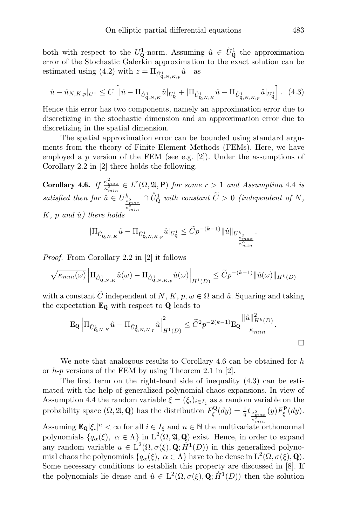both with respect to the  $U^1_{\mathbf{Q}}$ -norm. Assuming  $\hat{u} \in \mathring{U}^1_{\mathbf{Q}}$  the approximation error of the Stochastic Galerkin approximation to the exact solution can be estimated using (4.2) with  $z = \prod_{\hat{U}_{\mathbf{Q},N,K,p}}$ as

$$
|\hat{u} - \hat{u}_{N,K,p}|_{U^1} \le C \left[ |\hat{u} - \Pi_{\hat{U}_{\mathbf{Q},N,K}^1} \hat{u}|_{U_{\mathbf{Q}}^1} + |\Pi_{\hat{U}_{\mathbf{Q},N,K}^1} \hat{u} - \Pi_{\hat{U}_{\mathbf{Q},N,K,p}^1} \hat{u}|_{U_{\mathbf{Q}}^1} \right].
$$
 (4.3)

Hence this error has two components, namely an approximation error due to discretizing in the stochastic dimension and an approximation error due to discretizing in the spatial dimension.

The spatial approximation error can be bounded using standard arguments from the theory of Finite Element Methods (FEMs). Here, we have employed a p version of the FEM (see e.g. [2]). Under the assumptions of Corollary 2.2 in [2] there holds the following.

**Corollary 4.6.** If  $\frac{\kappa_{max}^2}{\kappa_{min}^2} \in L^r(\Omega, \mathfrak{A}, \mathbf{P})$  for some  $r > 1$  and Assumption 4.4 is satisfied then for  $\hat{u} \in U_{\frac{\kappa_{max}^2}{\kappa_{min}^3}}^{\hbar}$  $\cap \mathring{U}_{\mathbf{Q}}^1$  with constant  $\widetilde{C} > 0$  (independent of N,  $K, p \text{ and } \hat{u}$  there holds

$$
|\Pi_{\mathring{U}^1_{\mathbf{Q},N,K}}\hat{u}-\Pi_{\mathring{U}^1_{\mathbf{Q},N,K,p}}\hat{u}|_{U^1_{\mathbf{Q}}}\leq \widetilde{C}p^{-(k-1)}\|\hat{u}\|_{U^k_{\frac{\kappa_{max}}{\kappa^3_{min}}}}.
$$

Proof. From Corollary 2.2 in [2] it follows

$$
\sqrt{\kappa_{min}(\omega)} \left| \Pi_{\mathring{U}^1_{\mathbf{Q},N,K}} \hat{u}(\omega) - \Pi_{\mathring{U}^1_{\mathbf{Q},N,K,p}} \hat{u}(\omega) \right|_{H^1(D)} \leq \widetilde{C} p^{-(k-1)} \|\hat{u}(\omega)\|_{H^k(D)}
$$

with a constant  $\widetilde{C}$  independent of  $N, K, p, \omega \in \Omega$  and  $\hat{u}$ . Squaring and taking the expectation  $\mathbf{E}_{\mathbf{Q}}$  with respect to  $\mathbf{Q}$  leads to

$$
\mathbf{E}_{\mathbf{Q}}\left|\Pi_{\mathring{U}_{\mathbf{Q},N,K}^1}\hat{u} - \Pi_{\mathring{U}_{\mathbf{Q},N,K,p}^1}\hat{u}\right|^2_{H^1(D)} \leq \widetilde{C}^2 p^{-2(k-1)} \mathbf{E}_{\mathbf{Q}} \frac{\|\hat{u}\|_{H^k(D)}^2}{\kappa_{min}}.
$$

We note that analogous results to Corollary 4.6 can be obtained for  $h$ or  $h-p$  versions of the FEM by using Theorem 2.1 in [2].

The first term on the right-hand side of inequality (4.3) can be estimated with the help of generalized polynomial chaos expansions. In view of Assumption 4.4 the random variable  $\xi = (\xi_i)_{i \in I_{\xi}}$  as a random variable on the probability space  $(\Omega, \mathfrak{A}, \mathbf{Q})$  has the distribution  $F_{\xi}^{\mathbf{Q}}(dy) = \frac{1}{q} t_{\frac{\kappa_{max}^2}{2}}$  $\overline{\kappa_{min}^2}$  $(y)F_{\xi}^{\mathbf{P}}(dy).$ 

Assuming  $\mathbf{E}_{\mathbf{Q}}|\xi_i|^n < \infty$  for all  $i \in I_{\xi}$  and  $n \in \mathbb{N}$  the multivariate orthonormal polynomials  $\{q_\alpha(\xi), \alpha \in \Lambda\}$  in  $L^2(\Omega, \mathfrak{A}, \mathbf{Q})$  exist. Hence, in order to expand any random variable  $u \in L^2(\Omega, \sigma(\xi), \mathbf{Q}; \mathring{H}^1(D))$  in this generalized polynomial chaos the polynomials  $\{q_\alpha(\xi), \ \alpha \in \Lambda\}$  have to be dense in  $L^2(\Omega, \sigma(\xi), \mathbf{Q})$ . Some necessary conditions to establish this property are discussed in [8]. If the polynomials lie dense and  $\hat{u} \in L^2(\Omega, \sigma(\xi), \mathbf{Q}; \mathring{H}^1(D))$  then the solution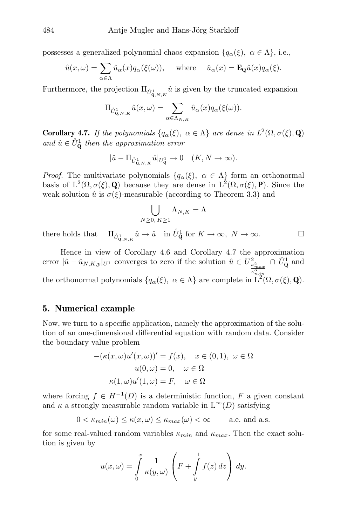possesses a generalized polynomial chaos expansion  $\{q_\alpha(\xi), \alpha \in \Lambda\}$ , i.e.,

$$
\hat{u}(x,\omega) = \sum_{\alpha \in \Lambda} \hat{u}_{\alpha}(x) q_{\alpha}(\xi(\omega)), \quad \text{where} \quad \hat{u}_{\alpha}(x) = \mathbf{E}_{\mathbf{Q}} \hat{u}(x) q_{\alpha}(\xi).
$$

Furthermore, the projection  $\Pi_{\hat{U}_{\mathbf{Q},N,K}^1}$  is given by the truncated expansion

$$
\Pi_{\mathring{U}^1_{\mathbf{Q},N,K}}\hat{u}(x,\omega)=\sum_{\alpha\in\Lambda_{N,K}}\hat{u}_{\alpha}(x)q_{\alpha}(\xi(\omega)).
$$

**Corollary 4.7.** If the polynomials  $\{q_\alpha(\xi), \alpha \in \Lambda\}$  are dense in  $L^2(\Omega, \sigma(\xi), \mathbf{Q})$ and  $\hat{u} \in \mathring{U}_{\mathbf{Q}}^1$  then the approximation error

$$
|\hat{u} - \Pi_{\hat{U}_{\mathbf{Q},N,K}^1} \hat{u}|_{U_{\mathbf{Q}}^1} \to 0 \quad (K, N \to \infty).
$$

*Proof.* The multivariate polynomials  $\{q_{\alpha}(\xi), \alpha \in \Lambda\}$  form an orthonormal basis of  $L^2(\Omega, \sigma(\xi), \mathbf{Q})$  because they are dense in  $L^2(\Omega, \sigma(\xi), \mathbf{P})$ . Since the weak solution  $\hat{u}$  is  $\sigma(\xi)$ -measurable (according to Theorem 3.3) and

$$
\bigcup_{N\geq 0,\ K\geq 1}\Lambda_{N,K}=\Lambda
$$

there holds that  $\hat{u}_{\mathbf{q},N,K} \hat{u} \to \hat{u} \quad \text{in } \hat{U}_{\mathbf{Q}}^1 \text{ for } K \to \infty, \ N \to \infty.$ 

Hence in view of Corollary 4.6 and Corollary 4.7 the approximation error  $|\hat{u} - \hat{u}_{N,K,p}|_{U^1}$  converges to zero if the solution  $\hat{u} \in U^2_{\frac{\kappa^2}{2} m a x} \cap \mathring{U}^1_{\mathbf{Q}}$  and  $\kappa_{min}^3$ the orthonormal polynomials  $\{q_\alpha(\xi), \alpha \in \Lambda\}$  are complete in  $L^2(\Omega, \sigma(\xi), \mathbf{Q})$ .

#### 5. Numerical example

Now, we turn to a specific application, namely the approximation of the solution of an one-dimensional differential equation with random data. Consider the boundary value problem

$$
-(\kappa(x,\omega)u'(x,\omega))' = f(x), \quad x \in (0,1), \ \omega \in \Omega
$$

$$
u(0,\omega) = 0, \quad \omega \in \Omega
$$

$$
\kappa(1,\omega)u'(1,\omega) = F, \quad \omega \in \Omega
$$

where forcing  $f \in H^{-1}(D)$  is a deterministic function, F a given constant and  $\kappa$  a strongly measurable random variable in  $L^{\infty}(D)$  satisfying

$$
0 < \kappa_{\min}(\omega) \le \kappa(x,\omega) \le \kappa_{\max}(\omega) < \infty \quad \text{a.e. and a.s.}
$$

for some real-valued random variables  $\kappa_{min}$  and  $\kappa_{max}$ . Then the exact solution is given by

$$
u(x,\omega) = \int_{0}^{x} \frac{1}{\kappa(y,\omega)} \left( F + \int_{y}^{1} f(z) dz \right) dy.
$$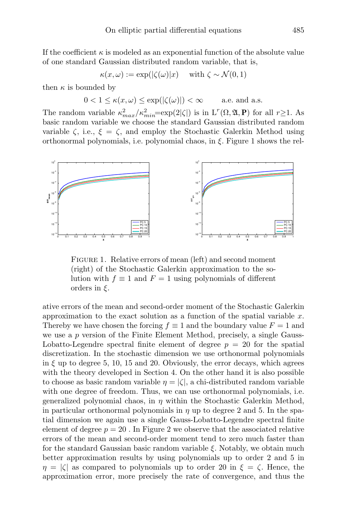If the coefficient  $\kappa$  is modeled as an exponential function of the absolute value of one standard Gaussian distributed random variable, that is,

$$
\kappa(x,\omega) := \exp(|\zeta(\omega)|x) \quad \text{ with } \zeta \sim \mathcal{N}(0,1)
$$

then  $\kappa$  is bounded by

$$
0 < 1 \le \kappa(x, \omega) \le \exp(|\zeta(\omega)|) < \infty \quad \text{a.e. and a.s.}
$$

The random variable  $\kappa_{max}^2/\kappa_{min}^2 = \exp(2|\zeta|)$  is in  $L^r(\Omega, \mathfrak{A}, \mathbf{P})$  for all  $r \geq 1$ . As basic random variable we choose the standard Gaussian distributed random variable  $\zeta$ , i.e.,  $\xi = \zeta$ , and employ the Stochastic Galerkin Method using orthonormal polynomials, i.e. polynomial chaos, in ξ. Figure 1 shows the rel-



FIGURE 1. Relative errors of mean (left) and second moment (right) of the Stochastic Galerkin approximation to the solution with  $f \equiv 1$  and  $F = 1$  using polynomials of different orders in  $\xi$ .

ative errors of the mean and second-order moment of the Stochastic Galerkin approximation to the exact solution as a function of the spatial variable  $x$ . Thereby we have chosen the forcing  $f \equiv 1$  and the boundary value  $F = 1$  and we use a p version of the Finite Element Method, precisely, a single Gauss-Lobatto-Legendre spectral finite element of degree  $p = 20$  for the spatial discretization. In the stochastic dimension we use orthonormal polynomials in  $\xi$  up to degree 5, 10, 15 and 20. Obviously, the error decays, which agrees with the theory developed in Section 4. On the other hand it is also possible to choose as basic random variable  $\eta = |\zeta|$ , a chi-distributed random variable with one degree of freedom. Thus, we can use orthonormal polynomials, i.e. generalized polynomial chaos, in  $\eta$  within the Stochastic Galerkin Method, in particular orthonormal polynomials in  $\eta$  up to degree 2 and 5. In the spatial dimension we again use a single Gauss-Lobatto-Legendre spectral finite element of degree  $p = 20$ . In Figure 2 we observe that the associated relative errors of the mean and second-order moment tend to zero much faster than for the standard Gaussian basic random variable  $\xi$ . Notably, we obtain much better approximation results by using polynomials up to order 2 and 5 in  $\eta = |\zeta|$  as compared to polynomials up to order 20 in  $\xi = \zeta$ . Hence, the approximation error, more precisely the rate of convergence, and thus the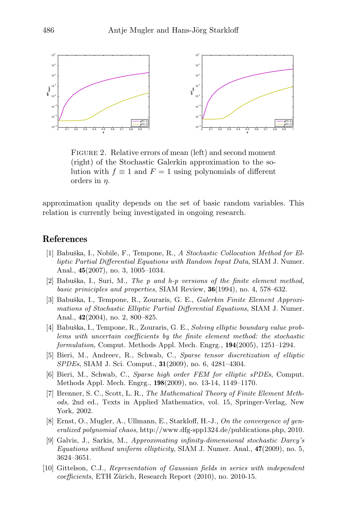

FIGURE 2. Relative errors of mean (left) and second moment (right) of the Stochastic Galerkin approximation to the solution with  $f \equiv 1$  and  $F = 1$  using polynomials of different orders in  $\eta$ .

approximation quality depends on the set of basic random variables. This relation is currently being investigated in ongoing research.

## References

- [1] Babuška, I., Nobile, F., Tempone, R., A Stochastic Collocation Method for Elliptic Partial Differential Equations with Random Input Data, SIAM J. Numer. Anal., 45(2007), no. 3, 1005–1034.
- [2] Babuška, I., Suri, M., The  $p$  and  $h-p$  versions of the finite element method, basic priniciples and properties, SIAM Review, 36(1994), no. 4, 578–632.
- [3] Babuška, I., Tempone, R., Zouraris, G. E., Galerkin Finite Element Approximations of Stochastic Elliptic Partial Differential Equations, SIAM J. Numer. Anal., 42(2004), no. 2, 800–825.
- [4] Babuška, I., Tempone, R., Zouraris, G. E., Solving elliptic boundary value problems with uncertain coefficients by the finite element method: the stochastic formulation, Comput. Methods Appl. Mech. Engrg., 194(2005), 1251–1294.
- [5] Bieri, M., Andreev, R., Schwab, C., Sparse tensor discretization of elliptic SPDEs, SIAM J. Sci. Comput., 31(2009), no. 6, 4281–4304.
- [6] Bieri, M., Schwab, C., Sparse high order FEM for elliptic sPDEs, Comput. Methods Appl. Mech. Engrg., 198(2009), no. 13-14, 1149–1170.
- [7] Brenner, S. C., Scott, L. R., The Mathematical Theory of Finite Element Methods, 2nd ed., Texts in Applied Mathematics, vol. 15, Springer-Verlag, New York, 2002.
- [8] Ernst, O., Mugler, A., Ullmann, E., Starkloff, H.-J., On the convergence of generalized polynomial chaos, http://www.dfg-spp1324.de/publications.php, 2010.
- [9] Galvis, J., Sarkis, M., Approximating infinity-dimensional stochastic Darcy's Equations without uniform ellipticity, SIAM J. Numer. Anal., 47(2009), no. 5, 3624–3651.
- [10] Gittelson, C.J., Representation of Gaussian fields in series with independent coefficients, ETH Zürich, Research Report (2010), no. 2010-15.